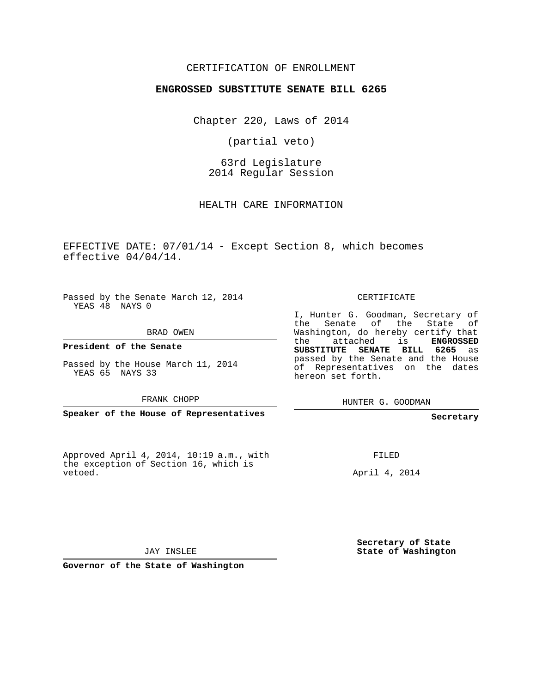#### CERTIFICATION OF ENROLLMENT

#### **ENGROSSED SUBSTITUTE SENATE BILL 6265**

Chapter 220, Laws of 2014

(partial veto)

63rd Legislature 2014 Regular Session

HEALTH CARE INFORMATION

EFFECTIVE DATE: 07/01/14 - Except Section 8, which becomes effective 04/04/14.

Passed by the Senate March 12, 2014 YEAS 48 NAYS 0

BRAD OWEN

**President of the Senate**

Passed by the House March 11, 2014 YEAS 65 NAYS 33

FRANK CHOPP

**Speaker of the House of Representatives**

Approved April 4, 2014, 10:19 a.m., with the exception of Section 16, which is vetoed.

CERTIFICATE

I, Hunter G. Goodman, Secretary of the Senate of the State of Washington, do hereby certify that the attached is **ENGROSSED SUBSTITUTE SENATE BILL 6265** as passed by the Senate and the House of Representatives on the dates hereon set forth.

HUNTER G. GOODMAN

**Secretary**

FILED

April 4, 2014

**Secretary of State State of Washington**

JAY INSLEE

**Governor of the State of Washington**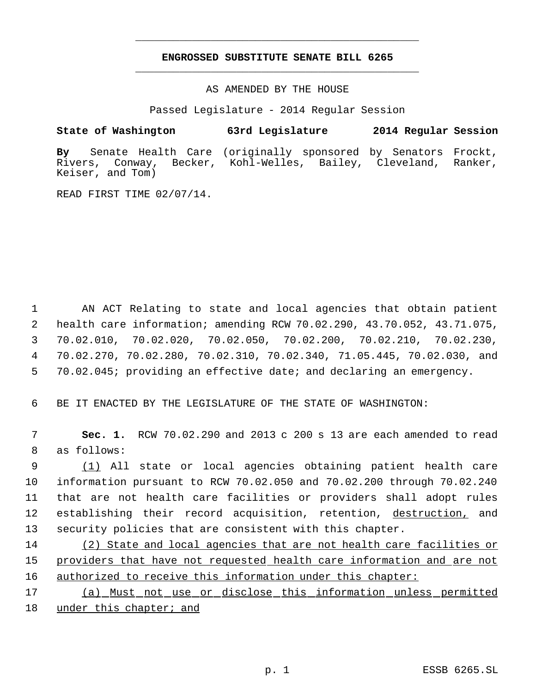## **ENGROSSED SUBSTITUTE SENATE BILL 6265** \_\_\_\_\_\_\_\_\_\_\_\_\_\_\_\_\_\_\_\_\_\_\_\_\_\_\_\_\_\_\_\_\_\_\_\_\_\_\_\_\_\_\_\_\_

\_\_\_\_\_\_\_\_\_\_\_\_\_\_\_\_\_\_\_\_\_\_\_\_\_\_\_\_\_\_\_\_\_\_\_\_\_\_\_\_\_\_\_\_\_

AS AMENDED BY THE HOUSE

Passed Legislature - 2014 Regular Session

### **State of Washington 63rd Legislature 2014 Regular Session**

**By** Senate Health Care (originally sponsored by Senators Frockt, Rivers, Conway, Becker, Kohl-Welles, Bailey, Cleveland, Ranker, Keiser, and Tom)

READ FIRST TIME 02/07/14.

 AN ACT Relating to state and local agencies that obtain patient health care information; amending RCW 70.02.290, 43.70.052, 43.71.075, 70.02.010, 70.02.020, 70.02.050, 70.02.200, 70.02.210, 70.02.230, 70.02.270, 70.02.280, 70.02.310, 70.02.340, 71.05.445, 70.02.030, and 70.02.045; providing an effective date; and declaring an emergency.

6 BE IT ENACTED BY THE LEGISLATURE OF THE STATE OF WASHINGTON:

 7 **Sec. 1.** RCW 70.02.290 and 2013 c 200 s 13 are each amended to read 8 as follows:

 (1) All state or local agencies obtaining patient health care information pursuant to RCW 70.02.050 and 70.02.200 through 70.02.240 that are not health care facilities or providers shall adopt rules 12 establishing their record acquisition, retention, destruction, and security policies that are consistent with this chapter.

14 (2) State and local agencies that are not health care facilities or 15 providers that have not requested health care information and are not 16 authorized to receive this information under this chapter:

17 (a) Must not use or disclose this information unless permitted 18 under this chapter; and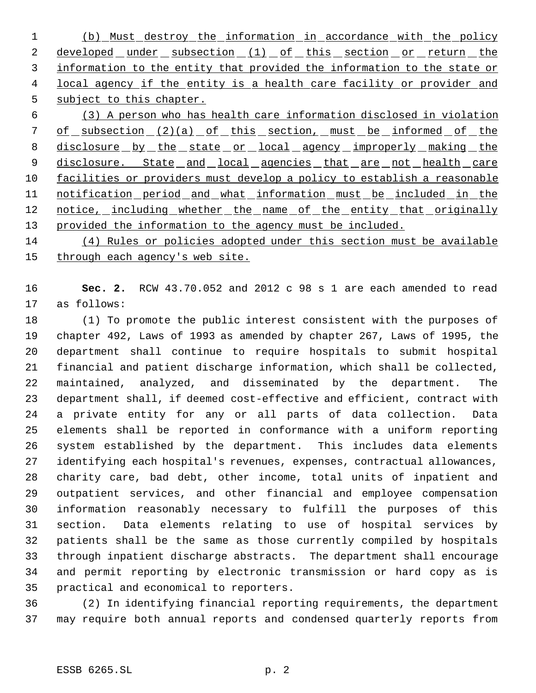(b) Must destroy the information in accordance with the policy 2 developed under subsection (1) of this section or return the information to the entity that provided the information to the state or 4 local agency if the entity is a health care facility or provider and 5 subject to this chapter.

 (3) A person who has health care information disclosed in violation 7 of subsection (2)(a) of this section, must be informed of the 8 disclosure by the state or local agency improperly making the 9 disclosure. State and local agencies that are not health care facilities or providers must develop a policy to establish a reasonable 11 notification period and what information must be included in the 12 notice, including whether the name of the entity that originally 13 provided the information to the agency must be included.

 (4) Rules or policies adopted under this section must be available 15 through each agency's web site.

 **Sec. 2.** RCW 43.70.052 and 2012 c 98 s 1 are each amended to read as follows:

 (1) To promote the public interest consistent with the purposes of chapter 492, Laws of 1993 as amended by chapter 267, Laws of 1995, the department shall continue to require hospitals to submit hospital financial and patient discharge information, which shall be collected, maintained, analyzed, and disseminated by the department. The department shall, if deemed cost-effective and efficient, contract with a private entity for any or all parts of data collection. Data elements shall be reported in conformance with a uniform reporting system established by the department. This includes data elements identifying each hospital's revenues, expenses, contractual allowances, charity care, bad debt, other income, total units of inpatient and outpatient services, and other financial and employee compensation information reasonably necessary to fulfill the purposes of this section. Data elements relating to use of hospital services by patients shall be the same as those currently compiled by hospitals through inpatient discharge abstracts. The department shall encourage and permit reporting by electronic transmission or hard copy as is practical and economical to reporters.

 (2) In identifying financial reporting requirements, the department may require both annual reports and condensed quarterly reports from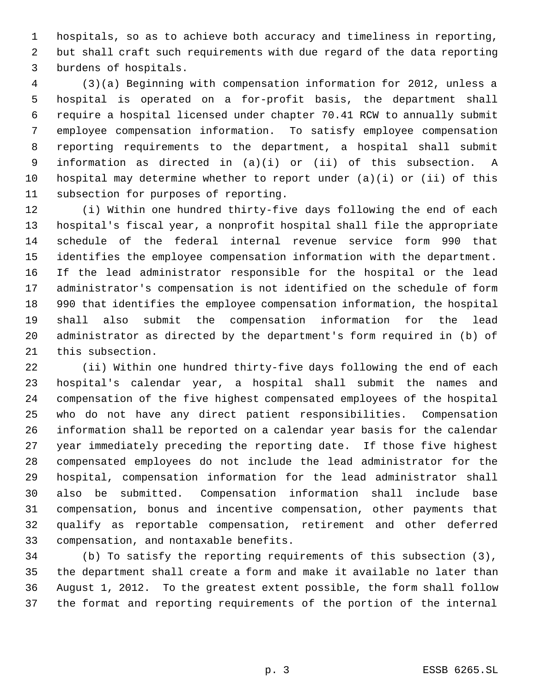hospitals, so as to achieve both accuracy and timeliness in reporting, but shall craft such requirements with due regard of the data reporting burdens of hospitals.

 (3)(a) Beginning with compensation information for 2012, unless a hospital is operated on a for-profit basis, the department shall require a hospital licensed under chapter 70.41 RCW to annually submit employee compensation information. To satisfy employee compensation reporting requirements to the department, a hospital shall submit information as directed in (a)(i) or (ii) of this subsection. A hospital may determine whether to report under (a)(i) or (ii) of this subsection for purposes of reporting.

 (i) Within one hundred thirty-five days following the end of each hospital's fiscal year, a nonprofit hospital shall file the appropriate schedule of the federal internal revenue service form 990 that identifies the employee compensation information with the department. If the lead administrator responsible for the hospital or the lead administrator's compensation is not identified on the schedule of form 990 that identifies the employee compensation information, the hospital shall also submit the compensation information for the lead administrator as directed by the department's form required in (b) of this subsection.

 (ii) Within one hundred thirty-five days following the end of each hospital's calendar year, a hospital shall submit the names and compensation of the five highest compensated employees of the hospital who do not have any direct patient responsibilities. Compensation information shall be reported on a calendar year basis for the calendar year immediately preceding the reporting date. If those five highest compensated employees do not include the lead administrator for the hospital, compensation information for the lead administrator shall also be submitted. Compensation information shall include base compensation, bonus and incentive compensation, other payments that qualify as reportable compensation, retirement and other deferred compensation, and nontaxable benefits.

 (b) To satisfy the reporting requirements of this subsection (3), the department shall create a form and make it available no later than August 1, 2012. To the greatest extent possible, the form shall follow the format and reporting requirements of the portion of the internal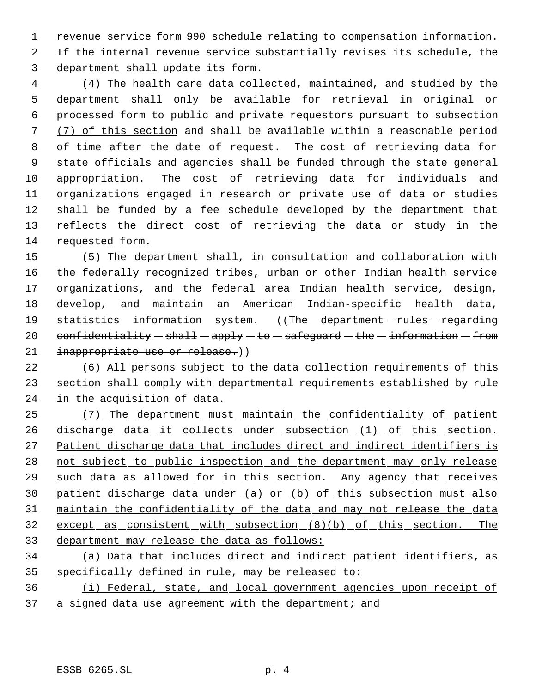revenue service form 990 schedule relating to compensation information. If the internal revenue service substantially revises its schedule, the department shall update its form.

 (4) The health care data collected, maintained, and studied by the department shall only be available for retrieval in original or processed form to public and private requestors pursuant to subsection (7) of this section and shall be available within a reasonable period of time after the date of request. The cost of retrieving data for state officials and agencies shall be funded through the state general appropriation. The cost of retrieving data for individuals and organizations engaged in research or private use of data or studies shall be funded by a fee schedule developed by the department that reflects the direct cost of retrieving the data or study in the requested form.

 (5) The department shall, in consultation and collaboration with the federally recognized tribes, urban or other Indian health service organizations, and the federal area Indian health service, design, develop, and maintain an American Indian-specific health data, 19 statistics information system. ((The department - rules - regarding 20 confidentiality  $-\text{shall} - \text{apply} - \text{to} - \text{safeguard} - \text{the} - \text{information} - \text{from}$ 21 inappropriate use or release.))

 (6) All persons subject to the data collection requirements of this section shall comply with departmental requirements established by rule in the acquisition of data.

 (7) The department must maintain the confidentiality of patient 26 discharge data it collects under subsection (1) of this section. Patient discharge data that includes direct and indirect identifiers is 28 not subject to public inspection and the department may only release 29 such data as allowed for in this section. Any agency that receives patient discharge data under (a) or (b) of this subsection must also maintain the confidentiality of the data and may not release the data 32 except as consistent with subsection (8)(b) of this section. The department may release the data as follows:

 (a) Data that includes direct and indirect patient identifiers, as specifically defined in rule, may be released to:

 (i) Federal, state, and local government agencies upon receipt of 37 a signed data use agreement with the department; and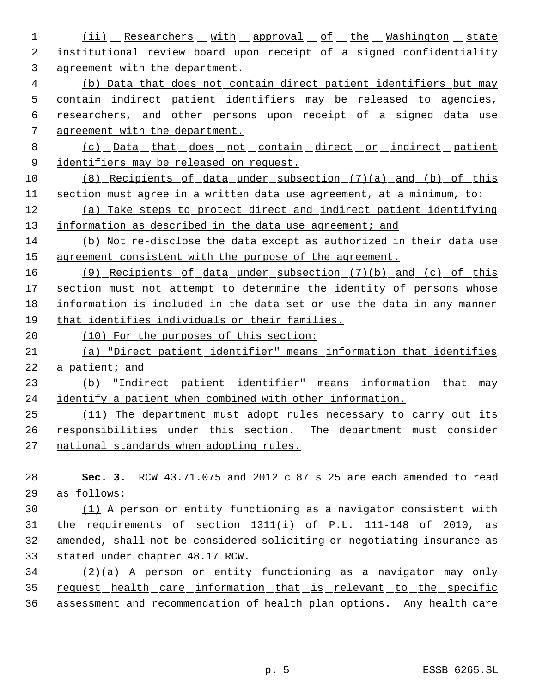1 (ii) Researchers with approval of the Washington state 2 institutional review board upon receipt of a signed confidentiality agreement with the department. (b) Data that does not contain direct patient identifiers but may contain indirect patient identifiers may be released to agencies, 6 researchers, and other persons upon receipt of a signed data use agreement with the department. (c) Data that does not contain direct or indirect patient identifiers may be released on request. (8) Recipients of data under subsection (7)(a) and (b) of this section must agree in a written data use agreement, at a minimum, to: (a) Take steps to protect direct and indirect patient identifying 13 information as described in the data use agreement; and (b) Not re-disclose the data except as authorized in their data use agreement consistent with the purpose of the agreement. (9) Recipients of data under subsection (7)(b) and (c) of this 17 section must not attempt to determine the identity of persons whose information is included in the data set or use the data in any manner that identifies individuals or their families. (10) For the purposes of this section: (a) "Direct patient identifier" means information that identifies a patient; and 23 (b) "Indirect patient identifier" means information that may identify a patient when combined with other information. (11) The department must adopt rules necessary to carry out its 26 responsibilities under this section. The department must consider national standards when adopting rules. **Sec. 3.** RCW 43.71.075 and 2012 c 87 s 25 are each amended to read

as follows:

 (1) A person or entity functioning as a navigator consistent with the requirements of section 1311(i) of P.L. 111-148 of 2010, as amended, shall not be considered soliciting or negotiating insurance as stated under chapter 48.17 RCW.

 (2)(a) A person or entity functioning as a navigator may only request health care information that is relevant to the specific assessment and recommendation of health plan options. Any health care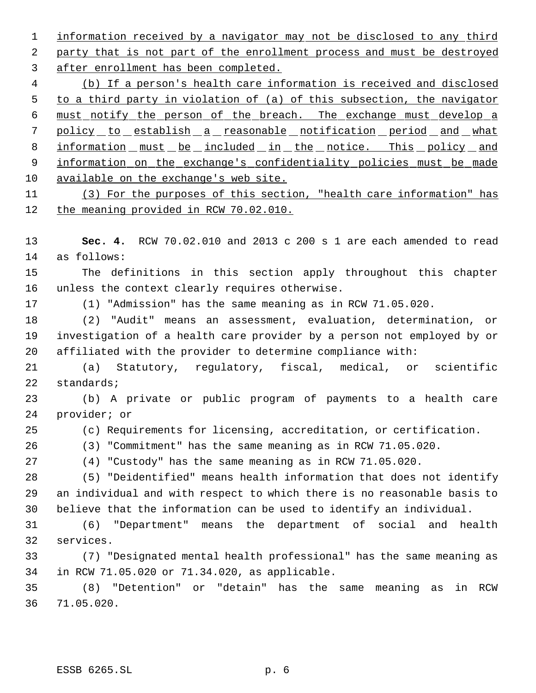1 information received by a navigator may not be disclosed to any third party that is not part of the enrollment process and must be destroyed after enrollment has been completed.

 (b) If a person's health care information is received and disclosed to a third party in violation of (a) of this subsection, the navigator must notify the person of the breach. The exchange must develop a 7 policy to establish a reasonable notification period and what 8 information must be included in the notice. This policy and 9 information on the exchange's confidentiality policies must be made available on the exchange's web site.

 (3) For the purposes of this section, "health care information" has the meaning provided in RCW 70.02.010.

 **Sec. 4.** RCW 70.02.010 and 2013 c 200 s 1 are each amended to read as follows:

 The definitions in this section apply throughout this chapter unless the context clearly requires otherwise.

(1) "Admission" has the same meaning as in RCW 71.05.020.

 (2) "Audit" means an assessment, evaluation, determination, or investigation of a health care provider by a person not employed by or affiliated with the provider to determine compliance with:

 (a) Statutory, regulatory, fiscal, medical, or scientific standards;

 (b) A private or public program of payments to a health care provider; or

(c) Requirements for licensing, accreditation, or certification.

(3) "Commitment" has the same meaning as in RCW 71.05.020.

(4) "Custody" has the same meaning as in RCW 71.05.020.

 (5) "Deidentified" means health information that does not identify an individual and with respect to which there is no reasonable basis to believe that the information can be used to identify an individual.

 (6) "Department" means the department of social and health services.

 (7) "Designated mental health professional" has the same meaning as in RCW 71.05.020 or 71.34.020, as applicable.

 (8) "Detention" or "detain" has the same meaning as in RCW 71.05.020.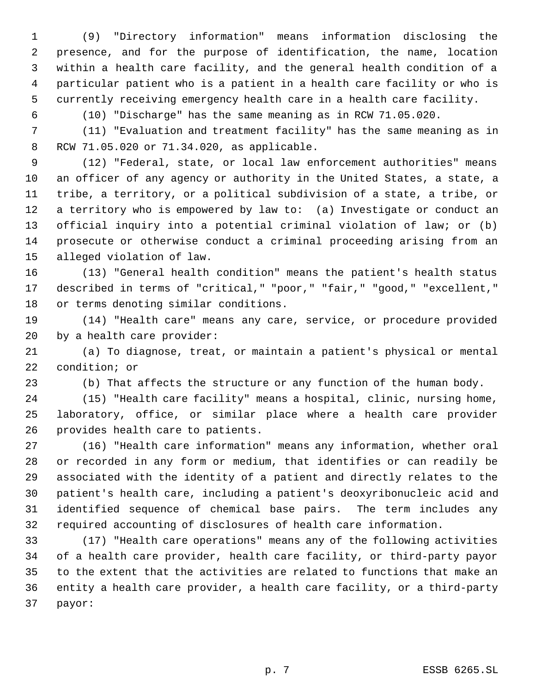(9) "Directory information" means information disclosing the presence, and for the purpose of identification, the name, location within a health care facility, and the general health condition of a particular patient who is a patient in a health care facility or who is currently receiving emergency health care in a health care facility.

(10) "Discharge" has the same meaning as in RCW 71.05.020.

 (11) "Evaluation and treatment facility" has the same meaning as in RCW 71.05.020 or 71.34.020, as applicable.

 (12) "Federal, state, or local law enforcement authorities" means an officer of any agency or authority in the United States, a state, a tribe, a territory, or a political subdivision of a state, a tribe, or a territory who is empowered by law to: (a) Investigate or conduct an official inquiry into a potential criminal violation of law; or (b) prosecute or otherwise conduct a criminal proceeding arising from an alleged violation of law.

 (13) "General health condition" means the patient's health status described in terms of "critical," "poor," "fair," "good," "excellent," or terms denoting similar conditions.

 (14) "Health care" means any care, service, or procedure provided by a health care provider:

 (a) To diagnose, treat, or maintain a patient's physical or mental condition; or

(b) That affects the structure or any function of the human body.

 (15) "Health care facility" means a hospital, clinic, nursing home, laboratory, office, or similar place where a health care provider provides health care to patients.

 (16) "Health care information" means any information, whether oral or recorded in any form or medium, that identifies or can readily be associated with the identity of a patient and directly relates to the patient's health care, including a patient's deoxyribonucleic acid and identified sequence of chemical base pairs. The term includes any required accounting of disclosures of health care information.

 (17) "Health care operations" means any of the following activities of a health care provider, health care facility, or third-party payor to the extent that the activities are related to functions that make an entity a health care provider, a health care facility, or a third-party payor: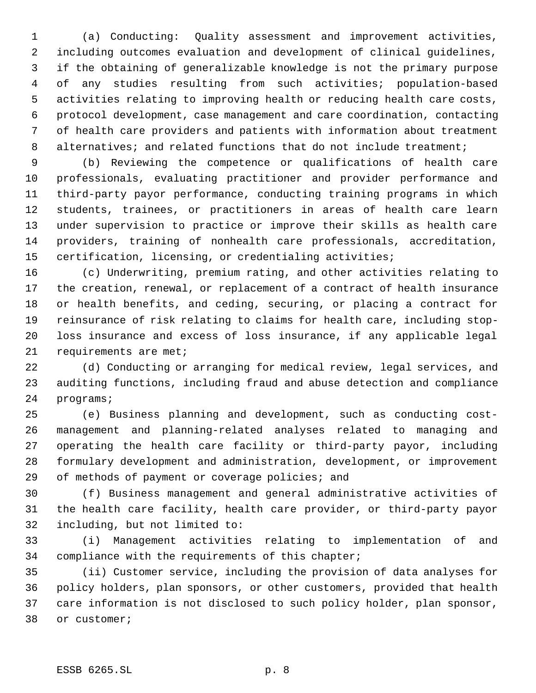(a) Conducting: Quality assessment and improvement activities, including outcomes evaluation and development of clinical guidelines, if the obtaining of generalizable knowledge is not the primary purpose of any studies resulting from such activities; population-based activities relating to improving health or reducing health care costs, protocol development, case management and care coordination, contacting of health care providers and patients with information about treatment 8 alternatives; and related functions that do not include treatment;

 (b) Reviewing the competence or qualifications of health care professionals, evaluating practitioner and provider performance and third-party payor performance, conducting training programs in which students, trainees, or practitioners in areas of health care learn under supervision to practice or improve their skills as health care providers, training of nonhealth care professionals, accreditation, certification, licensing, or credentialing activities;

 (c) Underwriting, premium rating, and other activities relating to the creation, renewal, or replacement of a contract of health insurance or health benefits, and ceding, securing, or placing a contract for reinsurance of risk relating to claims for health care, including stop- loss insurance and excess of loss insurance, if any applicable legal 21 requirements are met;

 (d) Conducting or arranging for medical review, legal services, and auditing functions, including fraud and abuse detection and compliance programs;

 (e) Business planning and development, such as conducting cost- management and planning-related analyses related to managing and operating the health care facility or third-party payor, including formulary development and administration, development, or improvement 29 of methods of payment or coverage policies; and

 (f) Business management and general administrative activities of the health care facility, health care provider, or third-party payor including, but not limited to:

 (i) Management activities relating to implementation of and compliance with the requirements of this chapter;

 (ii) Customer service, including the provision of data analyses for policy holders, plan sponsors, or other customers, provided that health care information is not disclosed to such policy holder, plan sponsor, or customer;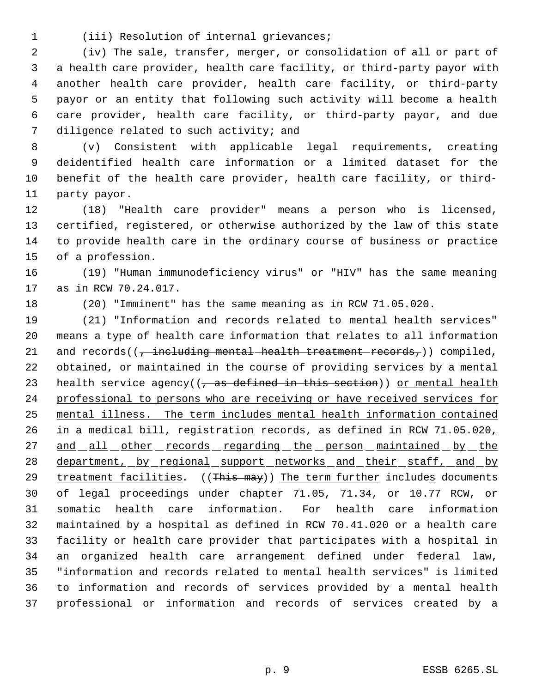(iii) Resolution of internal grievances;

 (iv) The sale, transfer, merger, or consolidation of all or part of a health care provider, health care facility, or third-party payor with another health care provider, health care facility, or third-party payor or an entity that following such activity will become a health care provider, health care facility, or third-party payor, and due diligence related to such activity; and

 (v) Consistent with applicable legal requirements, creating deidentified health care information or a limited dataset for the benefit of the health care provider, health care facility, or third-party payor.

 (18) "Health care provider" means a person who is licensed, certified, registered, or otherwise authorized by the law of this state to provide health care in the ordinary course of business or practice of a profession.

 (19) "Human immunodeficiency virus" or "HIV" has the same meaning as in RCW 70.24.017.

(20) "Imminent" has the same meaning as in RCW 71.05.020.

 (21) "Information and records related to mental health services" means a type of health care information that relates to all information 21 and records( $\left(\frac{1}{7} + \frac{1}{2} + \frac{1}{2} + \frac{1}{2} + \frac{1}{2} + \frac{1}{2} + \frac{1}{2} + \frac{1}{2} + \frac{1}{2} + \frac{1}{2} + \frac{1}{2} + \frac{1}{2} + \frac{1}{2} + \frac{1}{2} + \frac{1}{2} + \frac{1}{2} + \frac{1}{2} + \frac{1}{2} + \frac{1}{2} + \frac{1}{2} + \frac{1}{2} + \frac{1}{2} + \frac{1}{2} + \frac{1}{2} + \frac{1}{2} + \frac{$  obtained, or maintained in the course of providing services by a mental 23 health service agency( $(\tau$  as defined in this section)) or mental health professional to persons who are receiving or have received services for mental illness. The term includes mental health information contained in a medical bill, registration records, as defined in RCW 71.05.020, 27 and all other records regarding the person maintained by the 28 department, by regional support networks and their staff, and by 29 treatment facilities. ((This may)) The term further includes documents of legal proceedings under chapter 71.05, 71.34, or 10.77 RCW, or somatic health care information. For health care information maintained by a hospital as defined in RCW 70.41.020 or a health care facility or health care provider that participates with a hospital in an organized health care arrangement defined under federal law, "information and records related to mental health services" is limited to information and records of services provided by a mental health professional or information and records of services created by a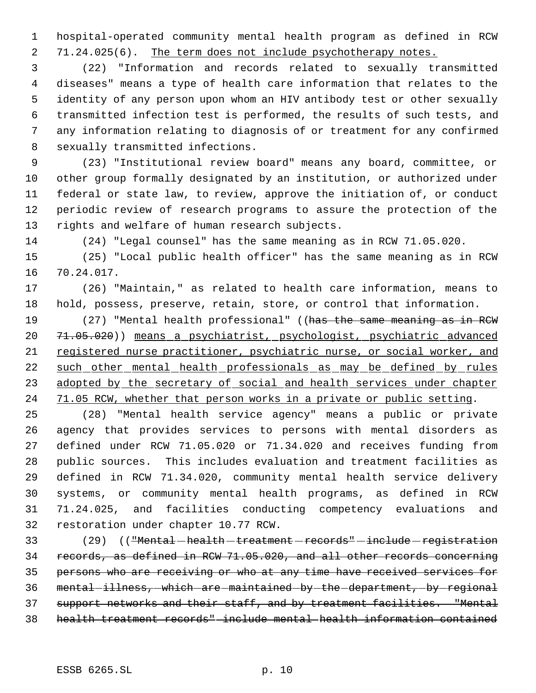hospital-operated community mental health program as defined in RCW 2 71.24.025(6). The term does not include psychotherapy notes.

 (22) "Information and records related to sexually transmitted diseases" means a type of health care information that relates to the identity of any person upon whom an HIV antibody test or other sexually transmitted infection test is performed, the results of such tests, and any information relating to diagnosis of or treatment for any confirmed sexually transmitted infections.

 (23) "Institutional review board" means any board, committee, or other group formally designated by an institution, or authorized under federal or state law, to review, approve the initiation of, or conduct periodic review of research programs to assure the protection of the rights and welfare of human research subjects.

(24) "Legal counsel" has the same meaning as in RCW 71.05.020.

 (25) "Local public health officer" has the same meaning as in RCW 70.24.017.

 (26) "Maintain," as related to health care information, means to hold, possess, preserve, retain, store, or control that information.

19 (27) "Mental health professional" ((has the same meaning as in RCW 71.05.020)) means a psychiatrist, psychologist, psychiatric advanced registered nurse practitioner, psychiatric nurse, or social worker, and such other mental health professionals as may be defined by rules 23 adopted by the secretary of social and health services under chapter 24 71.05 RCW, whether that person works in a private or public setting.

 (28) "Mental health service agency" means a public or private agency that provides services to persons with mental disorders as defined under RCW 71.05.020 or 71.34.020 and receives funding from public sources. This includes evaluation and treatment facilities as defined in RCW 71.34.020, community mental health service delivery systems, or community mental health programs, as defined in RCW 71.24.025, and facilities conducting competency evaluations and restoration under chapter 10.77 RCW.

33 (29) (("Mental-health-treatment-records"-include-registration records, as defined in RCW 71.05.020, and all other records concerning persons who are receiving or who at any time have received services for 36 mental-illness, which are maintained by the department, by regional support networks and their staff, and by treatment facilities. "Mental health treatment records" include mental health information contained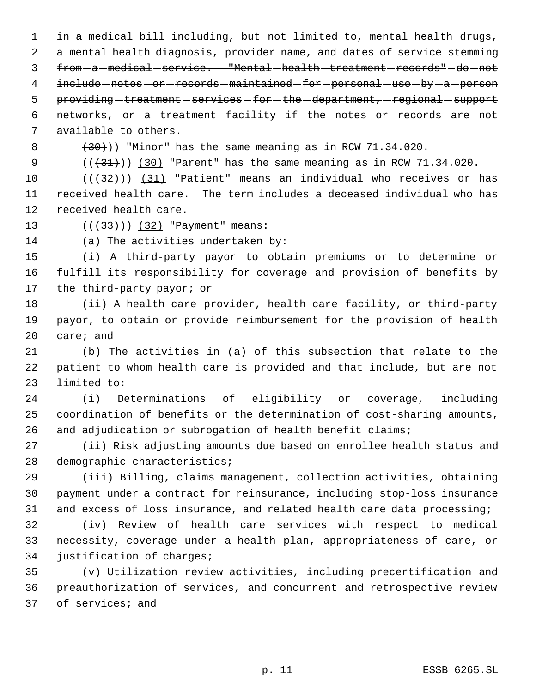in a medical bill including, but not limited to, mental health drugs, a mental health diagnosis, provider name, and dates of service stemming 3 from - a - medical - service. "Mental - health - treatment - records" - do - not 4 include -notes -or -records -maintained -for -personal -use -by -a -person 5 providing treatment services for the department, regional support 6 networks, or a treatment facility if the notes or records are not

available to others.

 $(30)$ )) "Minor" has the same meaning as in RCW 71.34.020.

 $((+31))$   $(30)$  "Parent" has the same meaning as in RCW 71.34.020.

 $((+32))$  (31) "Patient" means an individual who receives or has received health care. The term includes a deceased individual who has received health care.

13 (((433))) (32) "Payment" means:

(a) The activities undertaken by:

 (i) A third-party payor to obtain premiums or to determine or fulfill its responsibility for coverage and provision of benefits by the third-party payor; or

 (ii) A health care provider, health care facility, or third-party payor, to obtain or provide reimbursement for the provision of health care; and

 (b) The activities in (a) of this subsection that relate to the patient to whom health care is provided and that include, but are not limited to:

 (i) Determinations of eligibility or coverage, including coordination of benefits or the determination of cost-sharing amounts, 26 and adjudication or subrogation of health benefit claims;

 (ii) Risk adjusting amounts due based on enrollee health status and demographic characteristics;

 (iii) Billing, claims management, collection activities, obtaining payment under a contract for reinsurance, including stop-loss insurance and excess of loss insurance, and related health care data processing;

 (iv) Review of health care services with respect to medical necessity, coverage under a health plan, appropriateness of care, or justification of charges;

 (v) Utilization review activities, including precertification and preauthorization of services, and concurrent and retrospective review of services; and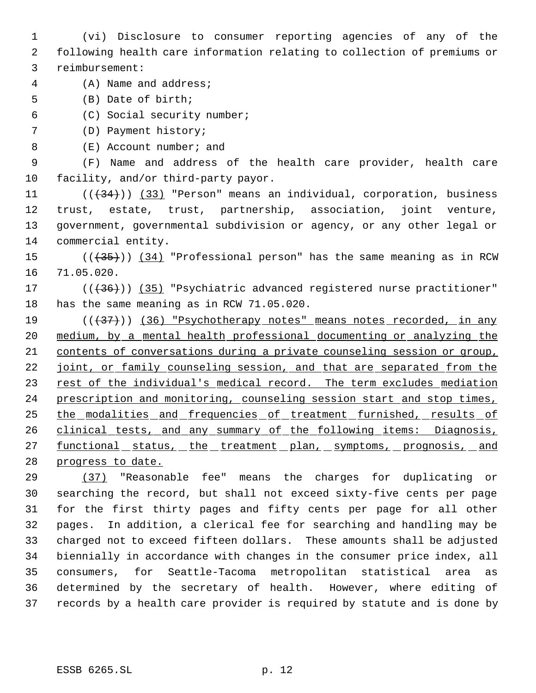(vi) Disclosure to consumer reporting agencies of any of the following health care information relating to collection of premiums or reimbursement:

- (A) Name and address;
- (B) Date of birth;
- (C) Social security number;

(D) Payment history;

8 (E) Account number; and

 (F) Name and address of the health care provider, health care facility, and/or third-party payor.

 $((+34))$   $(33)$  "Person" means an individual, corporation, business trust, estate, trust, partnership, association, joint venture, government, governmental subdivision or agency, or any other legal or commercial entity.

15 (( $\left(\frac{35}{10}\right)$ ) (34) "Professional person" has the same meaning as in RCW 71.05.020.

17 (( $(36)$ )) (35) "Psychiatric advanced registered nurse practitioner" has the same meaning as in RCW 71.05.020.

19 (( $\left(\frac{37}{10}\right)$  (36) "Psychotherapy notes" means notes recorded, in any medium, by a mental health professional documenting or analyzing the contents of conversations during a private counseling session or group, 22 joint, or family counseling session, and that are separated from the 23 rest of the individual's medical record. The term excludes mediation 24 prescription and monitoring, counseling session start and stop times, 25 the modalities and frequencies of treatment furnished, results of 26 clinical tests, and any summary of the following items: Diagnosis, 27 functional status, the treatment plan, symptoms, prognosis, and progress to date.

 (37) "Reasonable fee" means the charges for duplicating or searching the record, but shall not exceed sixty-five cents per page for the first thirty pages and fifty cents per page for all other pages. In addition, a clerical fee for searching and handling may be charged not to exceed fifteen dollars. These amounts shall be adjusted biennially in accordance with changes in the consumer price index, all consumers, for Seattle-Tacoma metropolitan statistical area as determined by the secretary of health. However, where editing of records by a health care provider is required by statute and is done by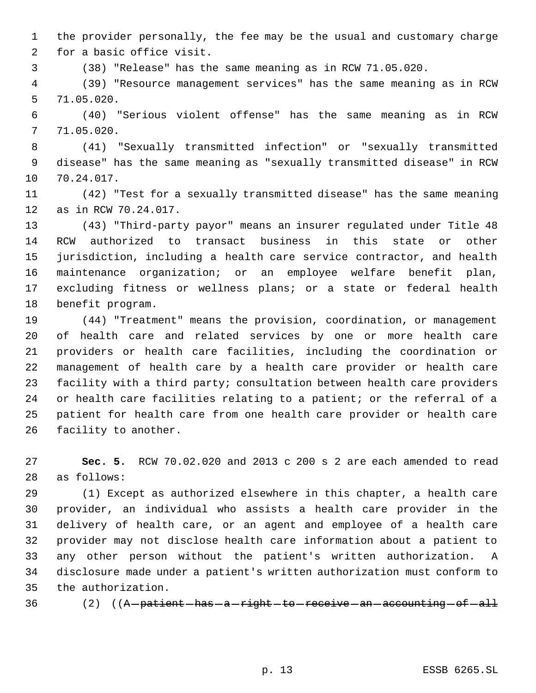the provider personally, the fee may be the usual and customary charge for a basic office visit.

(38) "Release" has the same meaning as in RCW 71.05.020.

 (39) "Resource management services" has the same meaning as in RCW 71.05.020.

 (40) "Serious violent offense" has the same meaning as in RCW 71.05.020.

 (41) "Sexually transmitted infection" or "sexually transmitted disease" has the same meaning as "sexually transmitted disease" in RCW 70.24.017.

 (42) "Test for a sexually transmitted disease" has the same meaning as in RCW 70.24.017.

 (43) "Third-party payor" means an insurer regulated under Title 48 RCW authorized to transact business in this state or other jurisdiction, including a health care service contractor, and health maintenance organization; or an employee welfare benefit plan, excluding fitness or wellness plans; or a state or federal health benefit program.

 (44) "Treatment" means the provision, coordination, or management of health care and related services by one or more health care providers or health care facilities, including the coordination or management of health care by a health care provider or health care facility with a third party; consultation between health care providers or health care facilities relating to a patient; or the referral of a patient for health care from one health care provider or health care facility to another.

 **Sec. 5.** RCW 70.02.020 and 2013 c 200 s 2 are each amended to read as follows:

 (1) Except as authorized elsewhere in this chapter, a health care provider, an individual who assists a health care provider in the delivery of health care, or an agent and employee of a health care provider may not disclose health care information about a patient to any other person without the patient's written authorization. A disclosure made under a patient's written authorization must conform to the authorization.

36 (2) ((A patient has a right to receive an accounting of all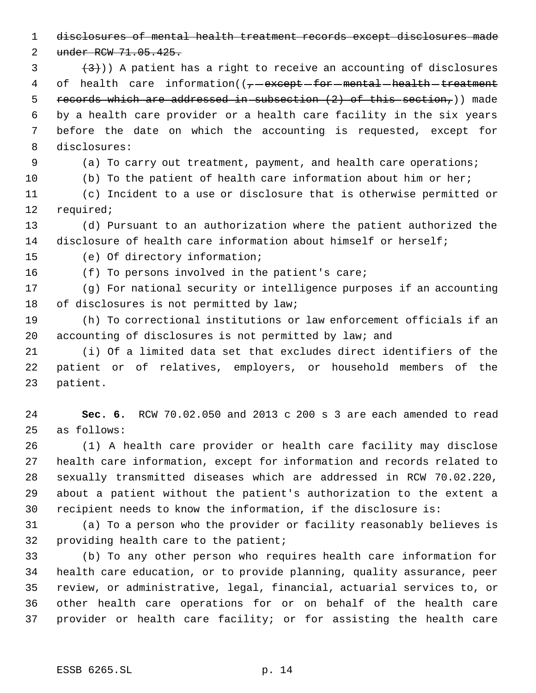disclosures of mental health treatment records except disclosures made

2 under RCW 71.05.425.

 $(3)$  (3)) A patient has a right to receive an accounting of disclosures 4 of health care information( $(-$  except for mental health treatment 5 records which are addressed in subsection  $(2)$  of this section,)) made by a health care provider or a health care facility in the six years before the date on which the accounting is requested, except for disclosures:

(a) To carry out treatment, payment, and health care operations;

(b) To the patient of health care information about him or her;

 (c) Incident to a use or disclosure that is otherwise permitted or required;

 (d) Pursuant to an authorization where the patient authorized the disclosure of health care information about himself or herself;

(e) Of directory information;

(f) To persons involved in the patient's care;

 (g) For national security or intelligence purposes if an accounting of disclosures is not permitted by law;

 (h) To correctional institutions or law enforcement officials if an accounting of disclosures is not permitted by law; and

 (i) Of a limited data set that excludes direct identifiers of the patient or of relatives, employers, or household members of the patient.

 **Sec. 6.** RCW 70.02.050 and 2013 c 200 s 3 are each amended to read as follows:

 (1) A health care provider or health care facility may disclose health care information, except for information and records related to sexually transmitted diseases which are addressed in RCW 70.02.220, about a patient without the patient's authorization to the extent a recipient needs to know the information, if the disclosure is:

 (a) To a person who the provider or facility reasonably believes is providing health care to the patient;

 (b) To any other person who requires health care information for health care education, or to provide planning, quality assurance, peer review, or administrative, legal, financial, actuarial services to, or other health care operations for or on behalf of the health care provider or health care facility; or for assisting the health care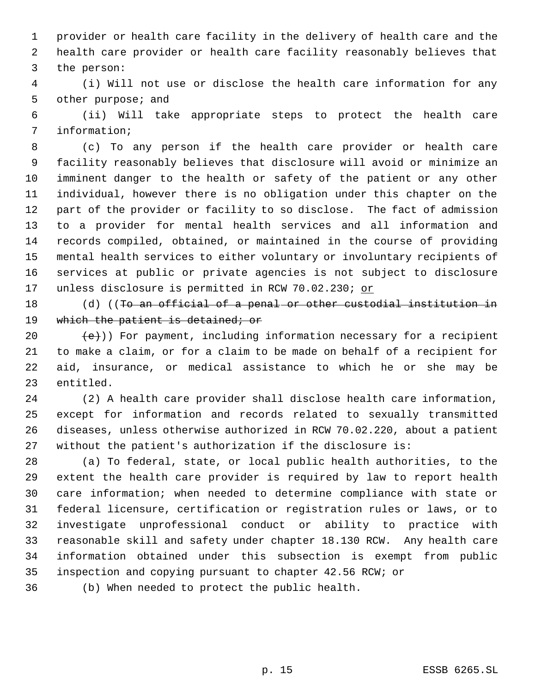provider or health care facility in the delivery of health care and the health care provider or health care facility reasonably believes that the person:

 (i) Will not use or disclose the health care information for any other purpose; and

 (ii) Will take appropriate steps to protect the health care information;

 (c) To any person if the health care provider or health care facility reasonably believes that disclosure will avoid or minimize an imminent danger to the health or safety of the patient or any other individual, however there is no obligation under this chapter on the part of the provider or facility to so disclose. The fact of admission to a provider for mental health services and all information and records compiled, obtained, or maintained in the course of providing mental health services to either voluntary or involuntary recipients of services at public or private agencies is not subject to disclosure 17 unless disclosure is permitted in RCW 70.02.230; or

18 (d) ((To an official of a penal or other custodial institution in 19 which the patient is detained; or

 $\text{(+e)}$ )) For payment, including information necessary for a recipient to make a claim, or for a claim to be made on behalf of a recipient for aid, insurance, or medical assistance to which he or she may be entitled.

 (2) A health care provider shall disclose health care information, except for information and records related to sexually transmitted diseases, unless otherwise authorized in RCW 70.02.220, about a patient without the patient's authorization if the disclosure is:

 (a) To federal, state, or local public health authorities, to the extent the health care provider is required by law to report health care information; when needed to determine compliance with state or federal licensure, certification or registration rules or laws, or to investigate unprofessional conduct or ability to practice with reasonable skill and safety under chapter 18.130 RCW. Any health care information obtained under this subsection is exempt from public inspection and copying pursuant to chapter 42.56 RCW; or

(b) When needed to protect the public health.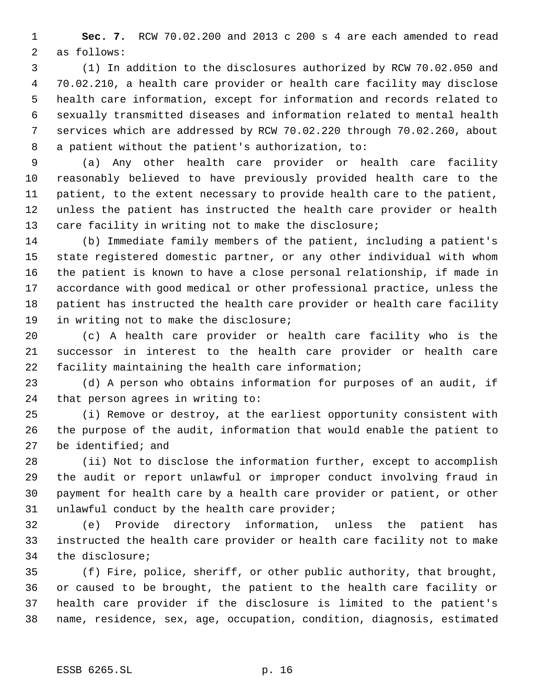**Sec. 7.** RCW 70.02.200 and 2013 c 200 s 4 are each amended to read as follows:

 (1) In addition to the disclosures authorized by RCW 70.02.050 and 70.02.210, a health care provider or health care facility may disclose health care information, except for information and records related to sexually transmitted diseases and information related to mental health services which are addressed by RCW 70.02.220 through 70.02.260, about a patient without the patient's authorization, to:

 (a) Any other health care provider or health care facility reasonably believed to have previously provided health care to the patient, to the extent necessary to provide health care to the patient, unless the patient has instructed the health care provider or health 13 care facility in writing not to make the disclosure;

 (b) Immediate family members of the patient, including a patient's state registered domestic partner, or any other individual with whom the patient is known to have a close personal relationship, if made in accordance with good medical or other professional practice, unless the patient has instructed the health care provider or health care facility in writing not to make the disclosure;

 (c) A health care provider or health care facility who is the successor in interest to the health care provider or health care facility maintaining the health care information;

 (d) A person who obtains information for purposes of an audit, if that person agrees in writing to:

 (i) Remove or destroy, at the earliest opportunity consistent with the purpose of the audit, information that would enable the patient to be identified; and

 (ii) Not to disclose the information further, except to accomplish the audit or report unlawful or improper conduct involving fraud in payment for health care by a health care provider or patient, or other unlawful conduct by the health care provider;

 (e) Provide directory information, unless the patient has instructed the health care provider or health care facility not to make the disclosure;

 (f) Fire, police, sheriff, or other public authority, that brought, or caused to be brought, the patient to the health care facility or health care provider if the disclosure is limited to the patient's name, residence, sex, age, occupation, condition, diagnosis, estimated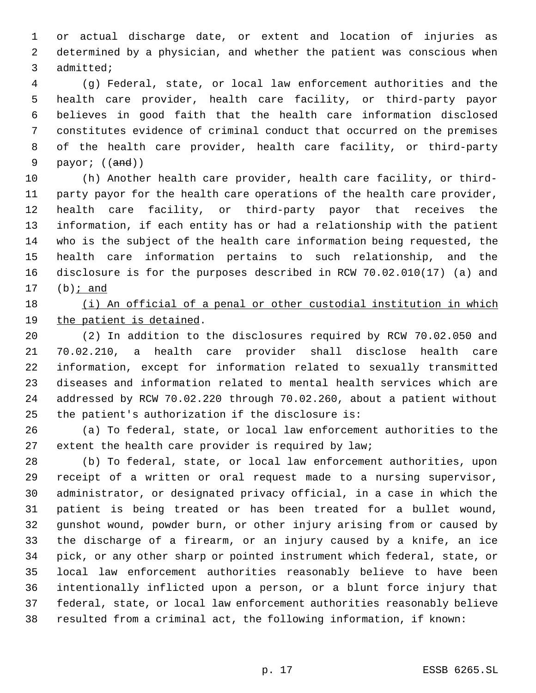or actual discharge date, or extent and location of injuries as determined by a physician, and whether the patient was conscious when admitted;

 (g) Federal, state, or local law enforcement authorities and the health care provider, health care facility, or third-party payor believes in good faith that the health care information disclosed constitutes evidence of criminal conduct that occurred on the premises of the health care provider, health care facility, or third-party 9 payor; ((and))

 (h) Another health care provider, health care facility, or third- party payor for the health care operations of the health care provider, health care facility, or third-party payor that receives the information, if each entity has or had a relationship with the patient who is the subject of the health care information being requested, the health care information pertains to such relationship, and the disclosure is for the purposes described in RCW 70.02.010(17) (a) and  $(b)$  *j* and

# (i) An official of a penal or other custodial institution in which the patient is detained.

 (2) In addition to the disclosures required by RCW 70.02.050 and 70.02.210, a health care provider shall disclose health care information, except for information related to sexually transmitted diseases and information related to mental health services which are addressed by RCW 70.02.220 through 70.02.260, about a patient without the patient's authorization if the disclosure is:

 (a) To federal, state, or local law enforcement authorities to the extent the health care provider is required by law;

 (b) To federal, state, or local law enforcement authorities, upon receipt of a written or oral request made to a nursing supervisor, administrator, or designated privacy official, in a case in which the patient is being treated or has been treated for a bullet wound, gunshot wound, powder burn, or other injury arising from or caused by the discharge of a firearm, or an injury caused by a knife, an ice pick, or any other sharp or pointed instrument which federal, state, or local law enforcement authorities reasonably believe to have been intentionally inflicted upon a person, or a blunt force injury that federal, state, or local law enforcement authorities reasonably believe resulted from a criminal act, the following information, if known: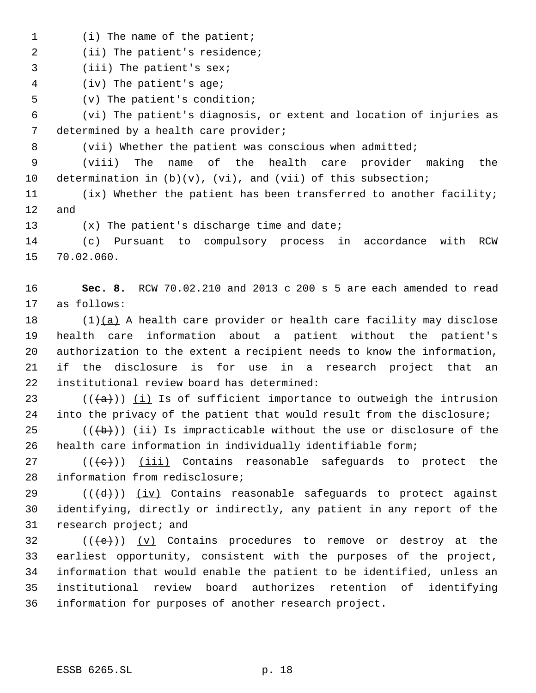1 (i) The name of the patient;

2 (ii) The patient's residence;

(iii) The patient's sex;

(iv) The patient's age;

(v) The patient's condition;

 (vi) The patient's diagnosis, or extent and location of injuries as 7 determined by a health care provider;

8 (vii) Whether the patient was conscious when admitted;

 (viii) The name of the health care provider making the 10 determination in  $(b)(v)$ ,  $(vi)$ , and  $(vii)$  of this subsection;

 (ix) Whether the patient has been transferred to another facility; and

(x) The patient's discharge time and date;

 (c) Pursuant to compulsory process in accordance with RCW 70.02.060.

 **Sec. 8.** RCW 70.02.210 and 2013 c 200 s 5 are each amended to read as follows:

 $(1)(a)$  A health care provider or health care facility may disclose health care information about a patient without the patient's authorization to the extent a recipient needs to know the information, if the disclosure is for use in a research project that an institutional review board has determined:

23 ( $((+a))$  <u>(i</u>) Is of sufficient importance to outweigh the intrusion into the privacy of the patient that would result from the disclosure;

25  $((+b))$  (ii) Is impracticable without the use or disclosure of the health care information in individually identifiable form;

 $((+e))$   $(iii)$  Contains reasonable safeguards to protect the information from redisclosure;

29 ( $(\langle d \rangle)$ ) (iv) Contains reasonable safeguards to protect against identifying, directly or indirectly, any patient in any report of the research project; and

 $((\text{+e})^2)(y)$  Contains procedures to remove or destroy at the earliest opportunity, consistent with the purposes of the project, information that would enable the patient to be identified, unless an institutional review board authorizes retention of identifying information for purposes of another research project.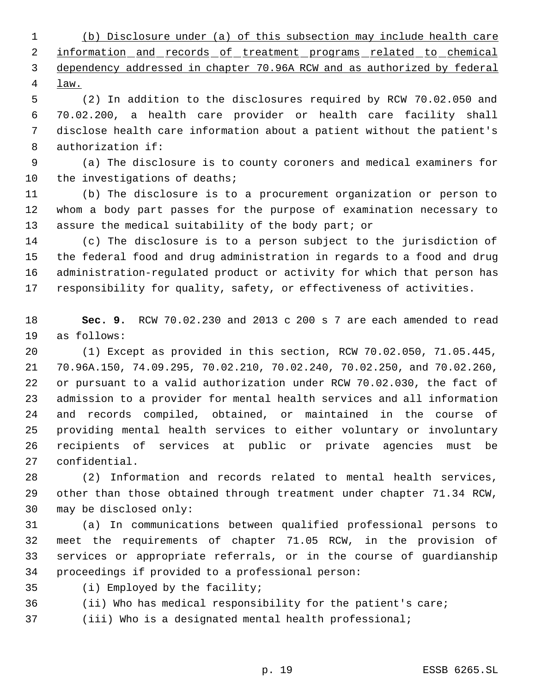(b) Disclosure under (a) of this subsection may include health care 2 information and records of treatment programs related to chemical dependency addressed in chapter 70.96A RCW and as authorized by federal law.

 (2) In addition to the disclosures required by RCW 70.02.050 and 70.02.200, a health care provider or health care facility shall disclose health care information about a patient without the patient's authorization if:

 (a) The disclosure is to county coroners and medical examiners for the investigations of deaths;

 (b) The disclosure is to a procurement organization or person to whom a body part passes for the purpose of examination necessary to assure the medical suitability of the body part; or

 (c) The disclosure is to a person subject to the jurisdiction of the federal food and drug administration in regards to a food and drug administration-regulated product or activity for which that person has responsibility for quality, safety, or effectiveness of activities.

 **Sec. 9.** RCW 70.02.230 and 2013 c 200 s 7 are each amended to read as follows:

 (1) Except as provided in this section, RCW 70.02.050, 71.05.445, 70.96A.150, 74.09.295, 70.02.210, 70.02.240, 70.02.250, and 70.02.260, or pursuant to a valid authorization under RCW 70.02.030, the fact of admission to a provider for mental health services and all information and records compiled, obtained, or maintained in the course of providing mental health services to either voluntary or involuntary recipients of services at public or private agencies must be confidential.

 (2) Information and records related to mental health services, other than those obtained through treatment under chapter 71.34 RCW, may be disclosed only:

 (a) In communications between qualified professional persons to meet the requirements of chapter 71.05 RCW, in the provision of services or appropriate referrals, or in the course of guardianship proceedings if provided to a professional person:

(i) Employed by the facility;

(ii) Who has medical responsibility for the patient's care;

(iii) Who is a designated mental health professional;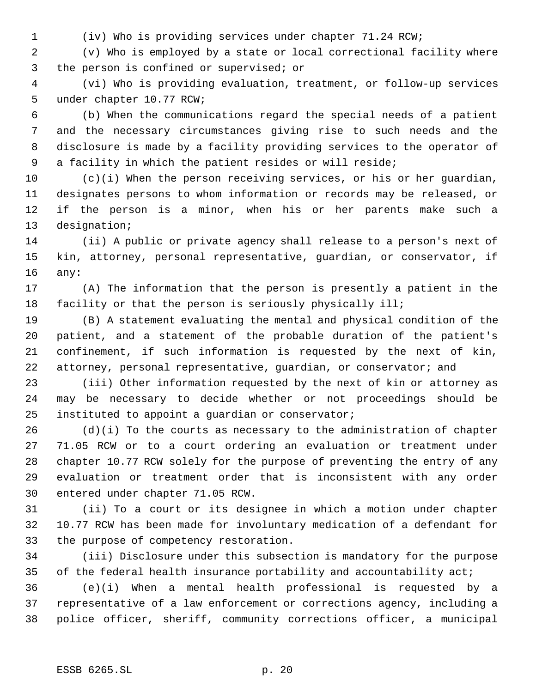(iv) Who is providing services under chapter 71.24 RCW;

 (v) Who is employed by a state or local correctional facility where the person is confined or supervised; or

 (vi) Who is providing evaluation, treatment, or follow-up services under chapter 10.77 RCW;

 (b) When the communications regard the special needs of a patient and the necessary circumstances giving rise to such needs and the disclosure is made by a facility providing services to the operator of a facility in which the patient resides or will reside;

 (c)(i) When the person receiving services, or his or her guardian, designates persons to whom information or records may be released, or if the person is a minor, when his or her parents make such a designation;

 (ii) A public or private agency shall release to a person's next of kin, attorney, personal representative, guardian, or conservator, if any:

 (A) The information that the person is presently a patient in the facility or that the person is seriously physically ill;

 (B) A statement evaluating the mental and physical condition of the patient, and a statement of the probable duration of the patient's confinement, if such information is requested by the next of kin, 22 attorney, personal representative, guardian, or conservator; and

 (iii) Other information requested by the next of kin or attorney as may be necessary to decide whether or not proceedings should be instituted to appoint a guardian or conservator;

 (d)(i) To the courts as necessary to the administration of chapter 71.05 RCW or to a court ordering an evaluation or treatment under chapter 10.77 RCW solely for the purpose of preventing the entry of any evaluation or treatment order that is inconsistent with any order entered under chapter 71.05 RCW.

 (ii) To a court or its designee in which a motion under chapter 10.77 RCW has been made for involuntary medication of a defendant for the purpose of competency restoration.

 (iii) Disclosure under this subsection is mandatory for the purpose 35 of the federal health insurance portability and accountability act;

 (e)(i) When a mental health professional is requested by a representative of a law enforcement or corrections agency, including a police officer, sheriff, community corrections officer, a municipal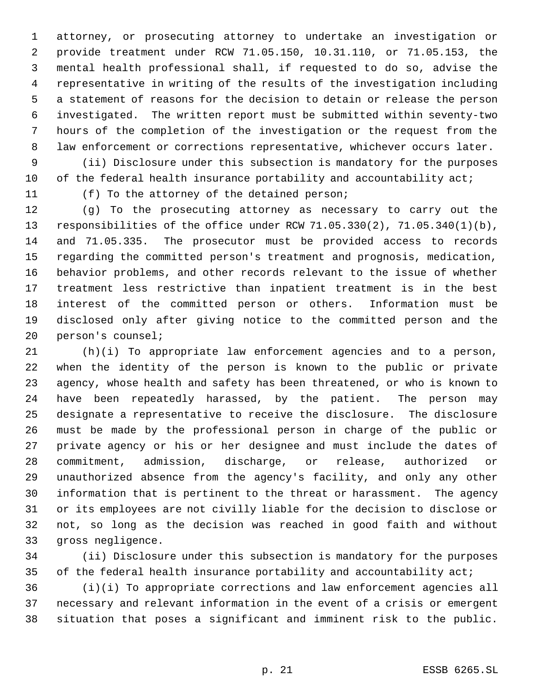attorney, or prosecuting attorney to undertake an investigation or provide treatment under RCW 71.05.150, 10.31.110, or 71.05.153, the mental health professional shall, if requested to do so, advise the representative in writing of the results of the investigation including a statement of reasons for the decision to detain or release the person investigated. The written report must be submitted within seventy-two hours of the completion of the investigation or the request from the law enforcement or corrections representative, whichever occurs later.

 (ii) Disclosure under this subsection is mandatory for the purposes 10 of the federal health insurance portability and accountability act;

(f) To the attorney of the detained person;

 (g) To the prosecuting attorney as necessary to carry out the responsibilities of the office under RCW 71.05.330(2), 71.05.340(1)(b), and 71.05.335. The prosecutor must be provided access to records regarding the committed person's treatment and prognosis, medication, behavior problems, and other records relevant to the issue of whether treatment less restrictive than inpatient treatment is in the best interest of the committed person or others. Information must be disclosed only after giving notice to the committed person and the person's counsel;

 (h)(i) To appropriate law enforcement agencies and to a person, when the identity of the person is known to the public or private agency, whose health and safety has been threatened, or who is known to have been repeatedly harassed, by the patient. The person may designate a representative to receive the disclosure. The disclosure must be made by the professional person in charge of the public or private agency or his or her designee and must include the dates of commitment, admission, discharge, or release, authorized or unauthorized absence from the agency's facility, and only any other information that is pertinent to the threat or harassment. The agency or its employees are not civilly liable for the decision to disclose or not, so long as the decision was reached in good faith and without gross negligence.

 (ii) Disclosure under this subsection is mandatory for the purposes 35 of the federal health insurance portability and accountability act;

 (i)(i) To appropriate corrections and law enforcement agencies all necessary and relevant information in the event of a crisis or emergent situation that poses a significant and imminent risk to the public.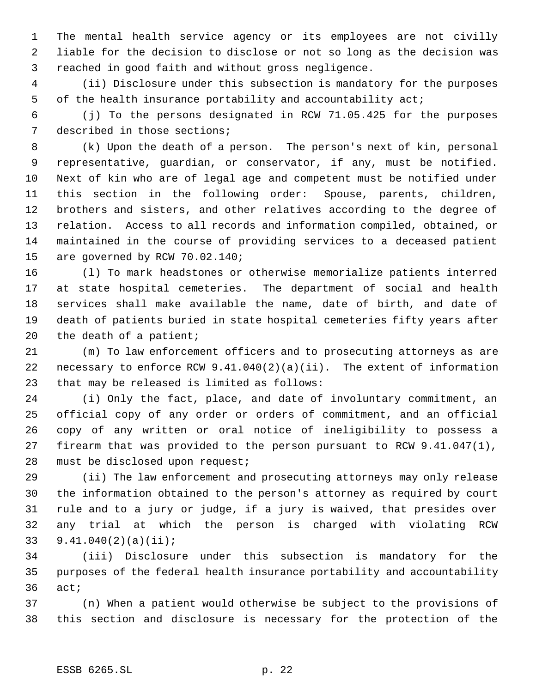The mental health service agency or its employees are not civilly liable for the decision to disclose or not so long as the decision was reached in good faith and without gross negligence.

 (ii) Disclosure under this subsection is mandatory for the purposes of the health insurance portability and accountability act;

 (j) To the persons designated in RCW 71.05.425 for the purposes described in those sections;

 (k) Upon the death of a person. The person's next of kin, personal representative, guardian, or conservator, if any, must be notified. Next of kin who are of legal age and competent must be notified under this section in the following order: Spouse, parents, children, brothers and sisters, and other relatives according to the degree of relation. Access to all records and information compiled, obtained, or maintained in the course of providing services to a deceased patient are governed by RCW 70.02.140;

 (l) To mark headstones or otherwise memorialize patients interred at state hospital cemeteries. The department of social and health services shall make available the name, date of birth, and date of death of patients buried in state hospital cemeteries fifty years after 20 the death of a patient;

 (m) To law enforcement officers and to prosecuting attorneys as are necessary to enforce RCW 9.41.040(2)(a)(ii). The extent of information that may be released is limited as follows:

 (i) Only the fact, place, and date of involuntary commitment, an official copy of any order or orders of commitment, and an official copy of any written or oral notice of ineligibility to possess a firearm that was provided to the person pursuant to RCW 9.41.047(1), must be disclosed upon request;

 (ii) The law enforcement and prosecuting attorneys may only release the information obtained to the person's attorney as required by court rule and to a jury or judge, if a jury is waived, that presides over any trial at which the person is charged with violating RCW 9.41.040(2)(a)(ii);

 (iii) Disclosure under this subsection is mandatory for the purposes of the federal health insurance portability and accountability act;

 (n) When a patient would otherwise be subject to the provisions of this section and disclosure is necessary for the protection of the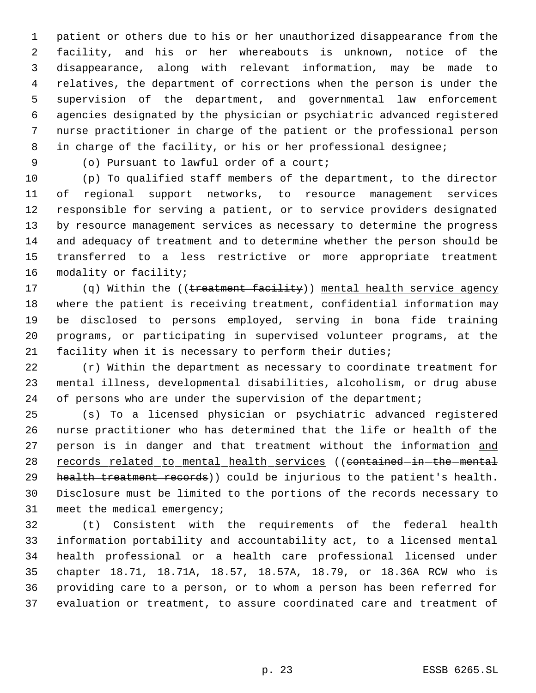patient or others due to his or her unauthorized disappearance from the facility, and his or her whereabouts is unknown, notice of the disappearance, along with relevant information, may be made to relatives, the department of corrections when the person is under the supervision of the department, and governmental law enforcement agencies designated by the physician or psychiatric advanced registered nurse practitioner in charge of the patient or the professional person in charge of the facility, or his or her professional designee;

(o) Pursuant to lawful order of a court;

 (p) To qualified staff members of the department, to the director of regional support networks, to resource management services responsible for serving a patient, or to service providers designated by resource management services as necessary to determine the progress and adequacy of treatment and to determine whether the person should be transferred to a less restrictive or more appropriate treatment 16 modality or facility;

17 (q) Within the ((treatment facility)) mental health service agency where the patient is receiving treatment, confidential information may be disclosed to persons employed, serving in bona fide training programs, or participating in supervised volunteer programs, at the facility when it is necessary to perform their duties;

 (r) Within the department as necessary to coordinate treatment for mental illness, developmental disabilities, alcoholism, or drug abuse 24 of persons who are under the supervision of the department;

 (s) To a licensed physician or psychiatric advanced registered nurse practitioner who has determined that the life or health of the 27 person is in danger and that treatment without the information and 28 records related to mental health services ((contained-in-the-mental 29 health treatment records)) could be injurious to the patient's health. Disclosure must be limited to the portions of the records necessary to meet the medical emergency;

 (t) Consistent with the requirements of the federal health information portability and accountability act, to a licensed mental health professional or a health care professional licensed under chapter 18.71, 18.71A, 18.57, 18.57A, 18.79, or 18.36A RCW who is providing care to a person, or to whom a person has been referred for evaluation or treatment, to assure coordinated care and treatment of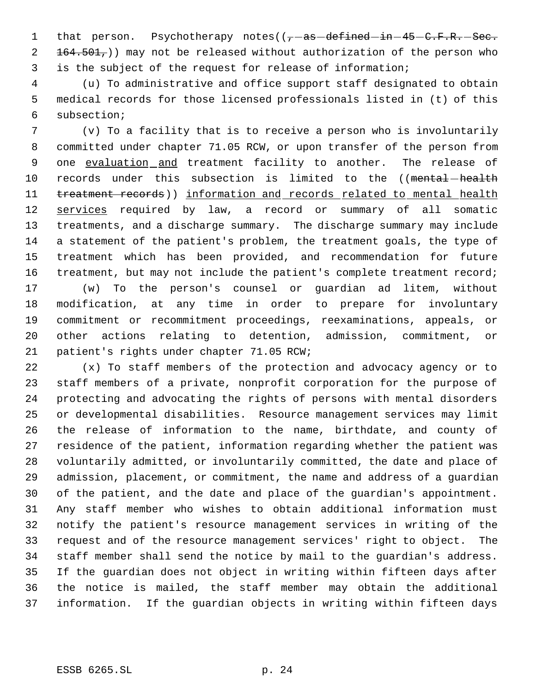1 that person. Psychotherapy notes( $(-$ as defined in 45 C.F.R. Sec.  $2 + 164.501<sub>7</sub>$ )) may not be released without authorization of the person who is the subject of the request for release of information;

 (u) To administrative and office support staff designated to obtain medical records for those licensed professionals listed in (t) of this subsection;

 (v) To a facility that is to receive a person who is involuntarily committed under chapter 71.05 RCW, or upon transfer of the person from 9 one evaluation and treatment facility to another. The release of 10 records under this subsection is limited to the ((mental-health 11 treatment records)) information and records related to mental health 12 services required by law, a record or summary of all somatic treatments, and a discharge summary. The discharge summary may include a statement of the patient's problem, the treatment goals, the type of treatment which has been provided, and recommendation for future 16 treatment, but may not include the patient's complete treatment record; (w) To the person's counsel or guardian ad litem, without

 modification, at any time in order to prepare for involuntary commitment or recommitment proceedings, reexaminations, appeals, or other actions relating to detention, admission, commitment, or patient's rights under chapter 71.05 RCW;

 (x) To staff members of the protection and advocacy agency or to staff members of a private, nonprofit corporation for the purpose of protecting and advocating the rights of persons with mental disorders or developmental disabilities. Resource management services may limit the release of information to the name, birthdate, and county of residence of the patient, information regarding whether the patient was voluntarily admitted, or involuntarily committed, the date and place of admission, placement, or commitment, the name and address of a guardian of the patient, and the date and place of the guardian's appointment. Any staff member who wishes to obtain additional information must notify the patient's resource management services in writing of the request and of the resource management services' right to object. The staff member shall send the notice by mail to the guardian's address. If the guardian does not object in writing within fifteen days after the notice is mailed, the staff member may obtain the additional information. If the guardian objects in writing within fifteen days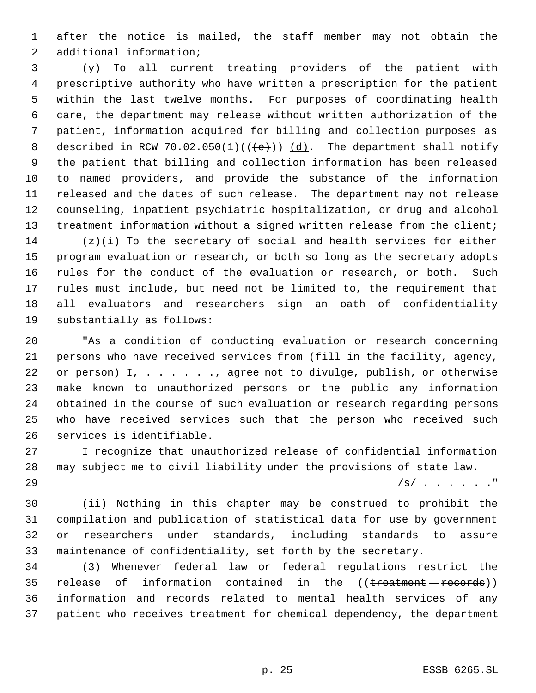after the notice is mailed, the staff member may not obtain the additional information;

 (y) To all current treating providers of the patient with prescriptive authority who have written a prescription for the patient within the last twelve months. For purposes of coordinating health care, the department may release without written authorization of the patient, information acquired for billing and collection purposes as 8 described in RCW 70.02.050(1)( $(\leftrightarrow)$ ) (d). The department shall notify the patient that billing and collection information has been released to named providers, and provide the substance of the information released and the dates of such release. The department may not release counseling, inpatient psychiatric hospitalization, or drug and alcohol 13 treatment information without a signed written release from the client; (z)(i) To the secretary of social and health services for either

 program evaluation or research, or both so long as the secretary adopts rules for the conduct of the evaluation or research, or both. Such rules must include, but need not be limited to, the requirement that all evaluators and researchers sign an oath of confidentiality substantially as follows:

 "As a condition of conducting evaluation or research concerning persons who have received services from (fill in the facility, agency, 22 or person) I, . . . . . . , agree not to divulge, publish, or otherwise make known to unauthorized persons or the public any information obtained in the course of such evaluation or research regarding persons who have received services such that the person who received such services is identifiable.

 I recognize that unauthorized release of confidential information may subject me to civil liability under the provisions of state law.

/s/ . . . . . ."

 (ii) Nothing in this chapter may be construed to prohibit the compilation and publication of statistical data for use by government or researchers under standards, including standards to assure maintenance of confidentiality, set forth by the secretary.

 (3) Whenever federal law or federal regulations restrict the 35 release of information contained in the ((treatment records)) information and records related to mental health services of any patient who receives treatment for chemical dependency, the department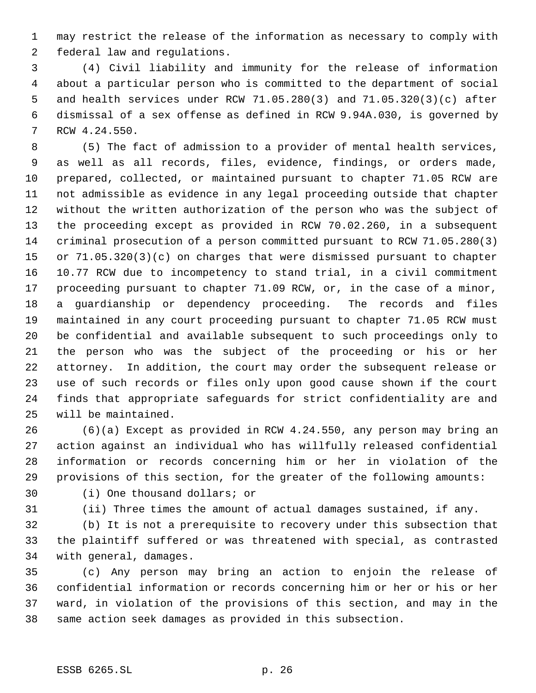may restrict the release of the information as necessary to comply with federal law and regulations.

 (4) Civil liability and immunity for the release of information about a particular person who is committed to the department of social and health services under RCW 71.05.280(3) and 71.05.320(3)(c) after dismissal of a sex offense as defined in RCW 9.94A.030, is governed by RCW 4.24.550.

 (5) The fact of admission to a provider of mental health services, as well as all records, files, evidence, findings, or orders made, prepared, collected, or maintained pursuant to chapter 71.05 RCW are not admissible as evidence in any legal proceeding outside that chapter without the written authorization of the person who was the subject of the proceeding except as provided in RCW 70.02.260, in a subsequent criminal prosecution of a person committed pursuant to RCW 71.05.280(3) or 71.05.320(3)(c) on charges that were dismissed pursuant to chapter 10.77 RCW due to incompetency to stand trial, in a civil commitment proceeding pursuant to chapter 71.09 RCW, or, in the case of a minor, a guardianship or dependency proceeding. The records and files maintained in any court proceeding pursuant to chapter 71.05 RCW must be confidential and available subsequent to such proceedings only to the person who was the subject of the proceeding or his or her attorney. In addition, the court may order the subsequent release or use of such records or files only upon good cause shown if the court finds that appropriate safeguards for strict confidentiality are and will be maintained.

 (6)(a) Except as provided in RCW 4.24.550, any person may bring an action against an individual who has willfully released confidential information or records concerning him or her in violation of the provisions of this section, for the greater of the following amounts:

(i) One thousand dollars; or

(ii) Three times the amount of actual damages sustained, if any.

 (b) It is not a prerequisite to recovery under this subsection that the plaintiff suffered or was threatened with special, as contrasted with general, damages.

 (c) Any person may bring an action to enjoin the release of confidential information or records concerning him or her or his or her ward, in violation of the provisions of this section, and may in the same action seek damages as provided in this subsection.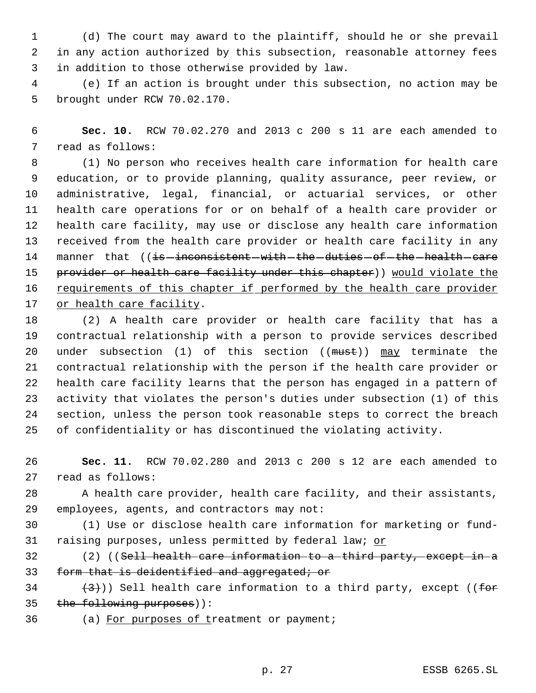(d) The court may award to the plaintiff, should he or she prevail in any action authorized by this subsection, reasonable attorney fees in addition to those otherwise provided by law.

 (e) If an action is brought under this subsection, no action may be brought under RCW 70.02.170.

 **Sec. 10.** RCW 70.02.270 and 2013 c 200 s 11 are each amended to read as follows:

 (1) No person who receives health care information for health care education, or to provide planning, quality assurance, peer review, or administrative, legal, financial, or actuarial services, or other health care operations for or on behalf of a health care provider or health care facility, may use or disclose any health care information received from the health care provider or health care facility in any 14 manner that ((is-inconsistent-with-the-duties-of-the-health-care 15 provider or health care facility under this chapter)) would violate the 16 requirements of this chapter if performed by the health care provider or health care facility.

 (2) A health care provider or health care facility that has a contractual relationship with a person to provide services described 20 under subsection (1) of this section ((must)) may terminate the contractual relationship with the person if the health care provider or health care facility learns that the person has engaged in a pattern of activity that violates the person's duties under subsection (1) of this section, unless the person took reasonable steps to correct the breach of confidentiality or has discontinued the violating activity.

 **Sec. 11.** RCW 70.02.280 and 2013 c 200 s 12 are each amended to read as follows:

 A health care provider, health care facility, and their assistants, employees, agents, and contractors may not:

 (1) Use or disclose health care information for marketing or fund-31 raising purposes, unless permitted by federal law; or

32 (2) ((Sell health care information to a third party, except in a 33 form that is deidentified and aggregated; or

34  $(3)$ ) Sell health care information to a third party, except ((for the following purposes)):

36 (a) For purposes of treatment or payment;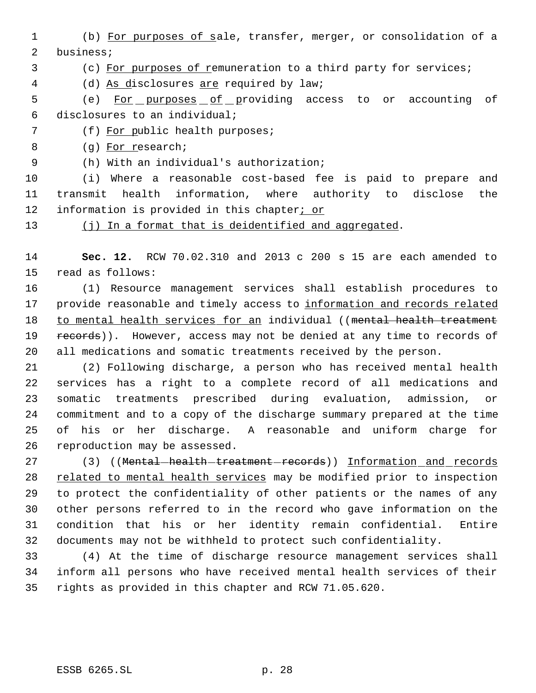(b) For purposes of sale, transfer, merger, or consolidation of a business;

(c) For purposes of remuneration to a third party for services;

(d) As disclosures are required by law;

 (e) For purposes of providing access to or accounting of disclosures to an individual;

(f) For public health purposes;

(g) For research;

(h) With an individual's authorization;

 (i) Where a reasonable cost-based fee is paid to prepare and transmit health information, where authority to disclose the information is provided in this chapter; or

13 (j) In a format that is deidentified and aggregated.

 **Sec. 12.** RCW 70.02.310 and 2013 c 200 s 15 are each amended to read as follows:

 (1) Resource management services shall establish procedures to provide reasonable and timely access to information and records related 18 to mental health services for an individual ((mental health treatment 19 records)). However, access may not be denied at any time to records of all medications and somatic treatments received by the person.

 (2) Following discharge, a person who has received mental health services has a right to a complete record of all medications and somatic treatments prescribed during evaluation, admission, or commitment and to a copy of the discharge summary prepared at the time of his or her discharge. A reasonable and uniform charge for reproduction may be assessed.

27 (3) ((Mental-health-treatment-records)) Information and records 28 related to mental health services may be modified prior to inspection to protect the confidentiality of other patients or the names of any other persons referred to in the record who gave information on the condition that his or her identity remain confidential. Entire documents may not be withheld to protect such confidentiality.

 (4) At the time of discharge resource management services shall inform all persons who have received mental health services of their rights as provided in this chapter and RCW 71.05.620.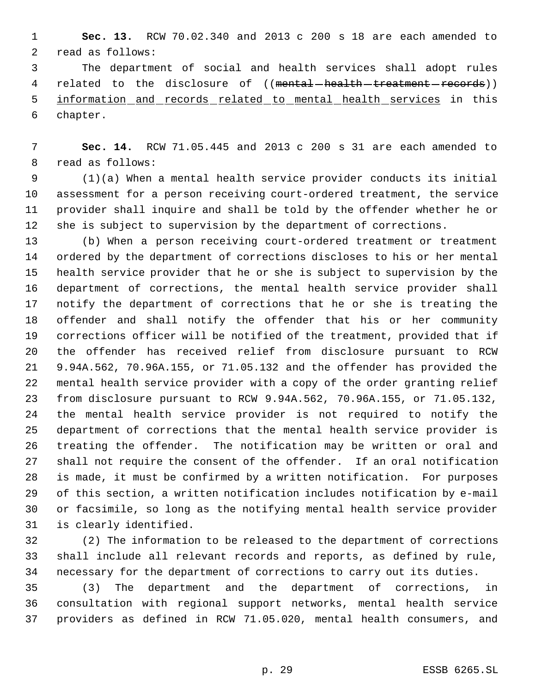**Sec. 13.** RCW 70.02.340 and 2013 c 200 s 18 are each amended to read as follows:

 The department of social and health services shall adopt rules 4 related to the disclosure of ((mental-health-treatment-records)) information and records related to mental health services in this chapter.

 **Sec. 14.** RCW 71.05.445 and 2013 c 200 s 31 are each amended to read as follows:

 (1)(a) When a mental health service provider conducts its initial assessment for a person receiving court-ordered treatment, the service provider shall inquire and shall be told by the offender whether he or she is subject to supervision by the department of corrections.

 (b) When a person receiving court-ordered treatment or treatment ordered by the department of corrections discloses to his or her mental health service provider that he or she is subject to supervision by the department of corrections, the mental health service provider shall notify the department of corrections that he or she is treating the offender and shall notify the offender that his or her community corrections officer will be notified of the treatment, provided that if the offender has received relief from disclosure pursuant to RCW 9.94A.562, 70.96A.155, or 71.05.132 and the offender has provided the mental health service provider with a copy of the order granting relief from disclosure pursuant to RCW 9.94A.562, 70.96A.155, or 71.05.132, the mental health service provider is not required to notify the department of corrections that the mental health service provider is treating the offender. The notification may be written or oral and shall not require the consent of the offender. If an oral notification is made, it must be confirmed by a written notification. For purposes of this section, a written notification includes notification by e-mail or facsimile, so long as the notifying mental health service provider is clearly identified.

 (2) The information to be released to the department of corrections shall include all relevant records and reports, as defined by rule, necessary for the department of corrections to carry out its duties.

 (3) The department and the department of corrections, in consultation with regional support networks, mental health service providers as defined in RCW 71.05.020, mental health consumers, and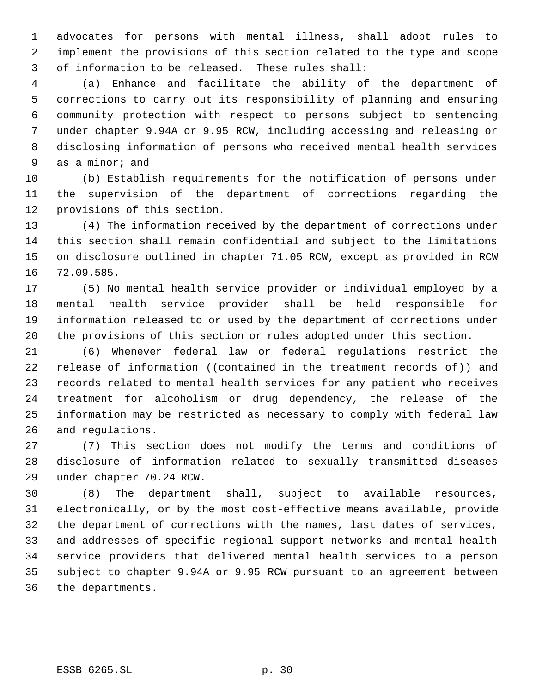advocates for persons with mental illness, shall adopt rules to implement the provisions of this section related to the type and scope of information to be released. These rules shall:

 (a) Enhance and facilitate the ability of the department of corrections to carry out its responsibility of planning and ensuring community protection with respect to persons subject to sentencing under chapter 9.94A or 9.95 RCW, including accessing and releasing or disclosing information of persons who received mental health services as a minor; and

 (b) Establish requirements for the notification of persons under the supervision of the department of corrections regarding the provisions of this section.

 (4) The information received by the department of corrections under this section shall remain confidential and subject to the limitations on disclosure outlined in chapter 71.05 RCW, except as provided in RCW 72.09.585.

 (5) No mental health service provider or individual employed by a mental health service provider shall be held responsible for information released to or used by the department of corrections under the provisions of this section or rules adopted under this section.

 (6) Whenever federal law or federal regulations restrict the 22 release of information ((contained in the treatment records of)) and 23 records related to mental health services for any patient who receives treatment for alcoholism or drug dependency, the release of the information may be restricted as necessary to comply with federal law and regulations.

 (7) This section does not modify the terms and conditions of disclosure of information related to sexually transmitted diseases under chapter 70.24 RCW.

 (8) The department shall, subject to available resources, electronically, or by the most cost-effective means available, provide the department of corrections with the names, last dates of services, and addresses of specific regional support networks and mental health service providers that delivered mental health services to a person subject to chapter 9.94A or 9.95 RCW pursuant to an agreement between the departments.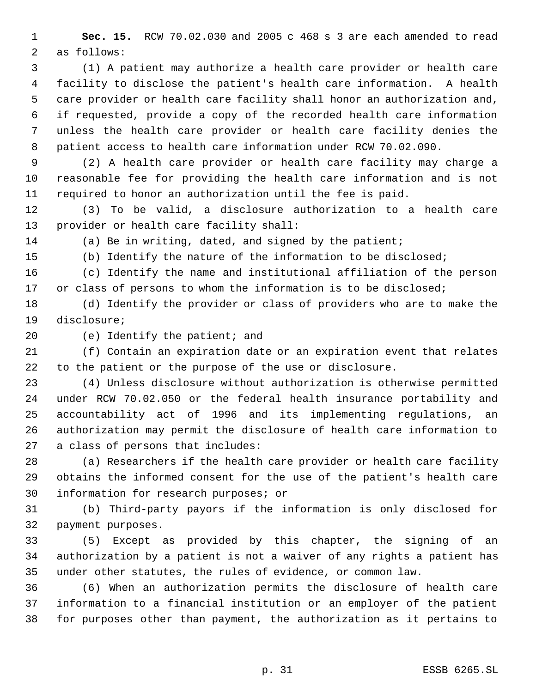**Sec. 15.** RCW 70.02.030 and 2005 c 468 s 3 are each amended to read as follows:

 (1) A patient may authorize a health care provider or health care facility to disclose the patient's health care information. A health care provider or health care facility shall honor an authorization and, if requested, provide a copy of the recorded health care information unless the health care provider or health care facility denies the patient access to health care information under RCW 70.02.090.

 (2) A health care provider or health care facility may charge a reasonable fee for providing the health care information and is not required to honor an authorization until the fee is paid.

 (3) To be valid, a disclosure authorization to a health care provider or health care facility shall:

(a) Be in writing, dated, and signed by the patient;

(b) Identify the nature of the information to be disclosed;

 (c) Identify the name and institutional affiliation of the person 17 or class of persons to whom the information is to be disclosed;

 (d) Identify the provider or class of providers who are to make the disclosure;

(e) Identify the patient; and

 (f) Contain an expiration date or an expiration event that relates to the patient or the purpose of the use or disclosure.

 (4) Unless disclosure without authorization is otherwise permitted under RCW 70.02.050 or the federal health insurance portability and accountability act of 1996 and its implementing regulations, an authorization may permit the disclosure of health care information to a class of persons that includes:

 (a) Researchers if the health care provider or health care facility obtains the informed consent for the use of the patient's health care information for research purposes; or

 (b) Third-party payors if the information is only disclosed for payment purposes.

 (5) Except as provided by this chapter, the signing of an authorization by a patient is not a waiver of any rights a patient has under other statutes, the rules of evidence, or common law.

 (6) When an authorization permits the disclosure of health care information to a financial institution or an employer of the patient for purposes other than payment, the authorization as it pertains to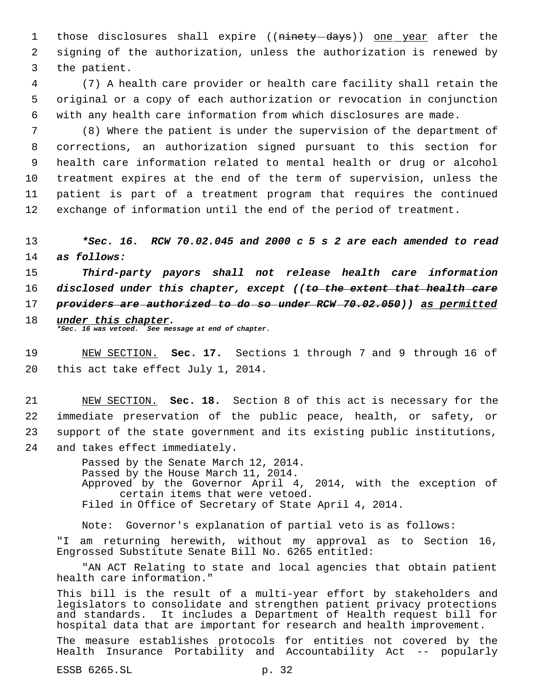1 those disclosures shall expire ((ninety-days)) one year after the 2 signing of the authorization, unless the authorization is renewed by 3 the patient.

 4 (7) A health care provider or health care facility shall retain the 5 original or a copy of each authorization or revocation in conjunction 6 with any health care information from which disclosures are made.

 (8) Where the patient is under the supervision of the department of corrections, an authorization signed pursuant to this section for health care information related to mental health or drug or alcohol treatment expires at the end of the term of supervision, unless the patient is part of a treatment program that requires the continued exchange of information until the end of the period of treatment.

13 *\*Sec. 16. RCW 70.02.045 and 2000 c 5 s 2 are each amended to read* 14 *as follows:*

 *Third-party payors shall not release health care information disclosed under this chapter, except ((to the extent that health care providers are authorized to do so under RCW 70.02.050)) as permitted under this chapter.*

*\*Sec. 16 was vetoed. See message at end of chapter.*

19 NEW SECTION. **Sec. 17.** Sections 1 through 7 and 9 through 16 of 20 this act take effect July 1, 2014.

 NEW SECTION. **Sec. 18.** Section 8 of this act is necessary for the immediate preservation of the public peace, health, or safety, or support of the state government and its existing public institutions, and takes effect immediately.

> Passed by the Senate March 12, 2014. Passed by the House March 11, 2014. Approved by the Governor April 4, 2014, with the exception of certain items that were vetoed. Filed in Office of Secretary of State April 4, 2014.

Note: Governor's explanation of partial veto is as follows: "I am returning herewith, without my approval as to Section 16, Engrossed Substitute Senate Bill No. 6265 entitled:

"AN ACT Relating to state and local agencies that obtain patient health care information."

This bill is the result of a multi-year effort by stakeholders and legislators to consolidate and strengthen patient privacy protections and standards. It includes a Department of Health request bill for hospital data that are important for research and health improvement.

The measure establishes protocols for entities not covered by the Health Insurance Portability and Accountability Act -- popularly

ESSB 6265.SL p. 32